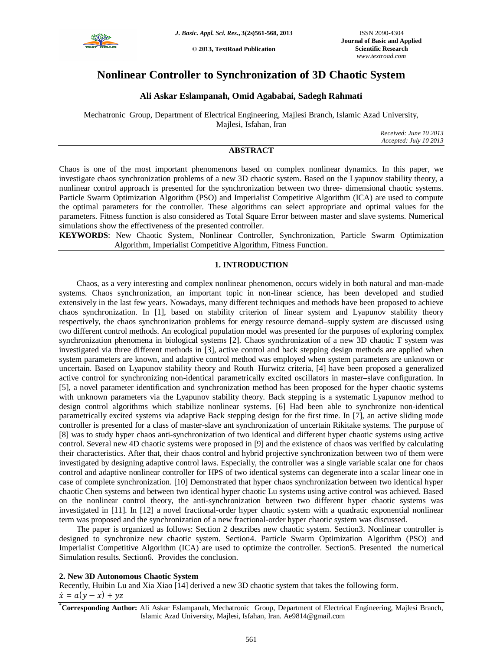

**© 2013, TextRoad Publication**

# **Nonlinear Controller to Synchronization of 3D Chaotic System**

## **Ali Askar Eslampanah, Omid Agababai, Sadegh Rahmati**

Mechatronic Group, Department of Electrical Engineering, Majlesi Branch, Islamic Azad University, Majlesi, Isfahan, Iran

*Received: June 10 2013 Accepted: July 10 2013*

## **ABSTRACT**

Chaos is one of the most important phenomenons based on complex nonlinear dynamics. In this paper, we investigate chaos synchronization problems of a new 3D chaotic system. Based on the Lyapunov stability theory, a nonlinear control approach is presented for the synchronization between two three- dimensional chaotic systems. Particle Swarm Optimization Algorithm (PSO) and Imperialist Competitive Algorithm (ICA) are used to compute the optimal parameters for the controller. These algorithms can select appropriate and optimal values for the parameters. Fitness function is also considered as Total Square Error between master and slave systems. Numerical simulations show the effectiveness of the presented controller.

**KEYWORDS**: New Chaotic System, Nonlinear Controller, Synchronization, Particle Swarm Optimization Algorithm, Imperialist Competitive Algorithm, Fitness Function.

## **1. INTRODUCTION**

Chaos, as a very interesting and complex nonlinear phenomenon, occurs widely in both natural and man-made systems. Chaos synchronization, an important topic in non-linear science, has been developed and studied extensively in the last few years. Nowadays, many different techniques and methods have been proposed to achieve chaos synchronization. In [1], based on stability criterion of linear system and Lyapunov stability theory respectively, the chaos synchronization problems for energy resource demand–supply system are discussed using two different control methods. An ecological population model was presented for the purposes of exploring complex synchronization phenomena in biological systems [2]. Chaos synchronization of a new 3D chaotic T system was investigated via three different methods in [3], active control and back stepping design methods are applied when system parameters are known, and adaptive control method was employed when system parameters are unknown or uncertain. Based on Lyapunov stability theory and Routh–Hurwitz criteria, [4] have been proposed a generalized active control for synchronizing non-identical parametrically excited oscillators in master–slave configuration. In [5], a novel parameter identification and synchronization method has been proposed for the hyper chaotic systems with unknown parameters via the Lyapunov stability theory. Back stepping is a systematic Lyapunov method to design control algorithms which stabilize nonlinear systems. [6] Had been able to synchronize non-identical parametrically excited systems via adaptive Back stepping design for the first time. In [7], an active sliding mode controller is presented for a class of master-slave ant synchronization of uncertain Rikitake systems. The purpose of [8] was to study hyper chaos anti-synchronization of two identical and different hyper chaotic systems using active control. Several new 4D chaotic systems were proposed in [9] and the existence of chaos was verified by calculating their characteristics. After that, their chaos control and hybrid projective synchronization between two of them were investigated by designing adaptive control laws. Especially, the controller was a single variable scalar one for chaos control and adaptive nonlinear controller for HPS of two identical systems can degenerate into a scalar linear one in case of complete synchronization. [10] Demonstrated that hyper chaos synchronization between two identical hyper chaotic Chen systems and between two identical hyper chaotic Lu systems using active control was achieved. Based on the nonlinear control theory, the anti-synchronization between two different hyper chaotic systems was investigated in [11]. In [12] a novel fractional-order hyper chaotic system with a quadratic exponential nonlinear term was proposed and the synchronization of a new fractional-order hyper chaotic system was discussed.

The paper is organized as follows: Section 2 describes new chaotic system. Section3. Nonlinear controller is designed to synchronize new chaotic system. Section4. Particle Swarm Optimization Algorithm (PSO) and Imperialist Competitive Algorithm (ICA) are used to optimize the controller. Section5. Presented the numerical Simulation results. Section6. Provides the conclusion.

## **2. New 3D Autonomous Chaotic System**

Recently, Huibin Lu and Xia Xiao [14] derived a new 3D chaotic system that takes the following form.  $\dot{x} = a(y - x) + yz$ 

**\*Corresponding Author:** Ali Askar Eslampanah, Mechatronic Group, Department of Electrical Engineering, Majlesi Branch, Islamic Azad University, Majlesi, Isfahan, Iran. Ae9814@gmail.com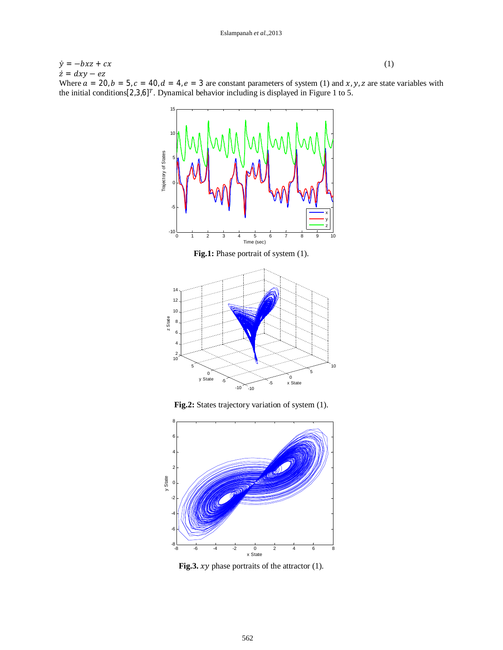$\dot{y} = -bxz + cx$  (1)  $\dot{z} = dxy - ez$ Where  $a = 20$ ,  $b = 5$ ,  $c = 40$ ,  $d = 4$ ,  $e = 3$  are constant parameters of system (1) and  $x$ ,  $y$ , z are state variables with the initial conditions  $[2,3,6]^T$ . Dynamical behavior including is displayed in Figure 1 to 5.



**Fig.2:** States trajectory variation of system (1).



**Fig.3.**  $xy$  phase portraits of the attractor  $(1)$ .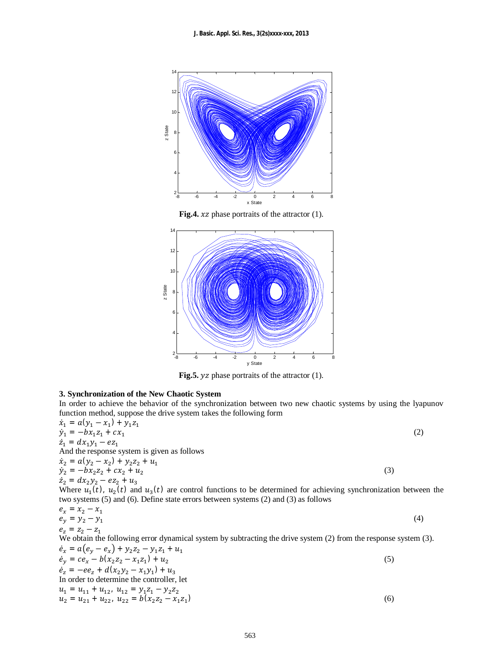

**Fig.4.**  $xz$  phase portraits of the attractor  $(1)$ .



Fig.5. *yz* phase portraits of the attractor (1).

## **3. Synchronization of the New Chaotic System**

In order to achieve the behavior of the synchronization between two new chaotic systems by using the lyapunov function method, suppose the drive system takes the following form  $\dot{x}_1 = a(y_1 - x_1) + v_1 z_1$ .

$$
\begin{aligned}\n\dot{x}_1 &= a(y_1 - x_1) + y_1 z_1 \\
\dot{y}_1 &= -bx_1 z_1 + cx_1 \\
\dot{z}_1 &= dx_1 y_1 - e z_1 \\
\text{And the response system is given as follows} \\
\dot{x}_2 &= a(y_2 - x_2) + y_2 z_2 + u_1 \\
\dot{y}_2 &= -bx_2 z_2 + cx_2 + u_2 \\
\dot{z}_2 &= dx_2 y_2 - e z_2 + u_3\n\end{aligned}
$$
\n(3)

Where  $u_1(t)$ ,  $u_2(t)$  and  $u_3(t)$  are control functions to be determined for achieving synchronization between the two systems (5) and (6). Define state errors between systems (2) and (3) as follows

$$
e_x = x_2 - x_1 \n e_y = y_2 - y_1 \n e_z = z_2 - z_1
$$
\n(4)

We obtain the following error dynamical system by subtracting the drive system (2) from the response system (3).

$$
\dot{e}_x = a(e_y - e_x) + y_2 z_2 - y_1 z_1 + u_1 \n\dot{e}_y = ce_x - b(x_2 z_2 - x_1 z_1) + u_2 \n\dot{e}_z = -ee_z + d(x_2 y_2 - x_1 y_1) + u_3 \nIn order to determine the controller, let \n u_1 = u_{11} + u_{12}, u_{12} = y_1 z_1 - y_2 z_2 \n u_2 = u_{21} + u_{22}, u_{22} = b(x_2 z_2 - x_1 z_1)
$$
\n(6)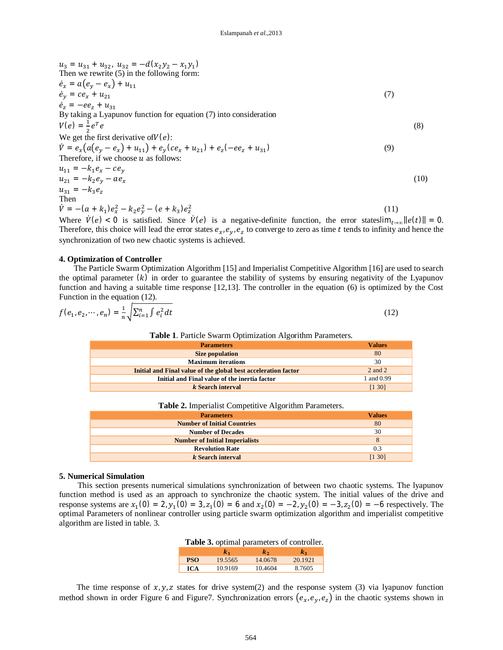$$
u_3 = u_{31} + u_{32}, u_{32} = -d(x_2y_2 - x_1y_1)
$$
  
\nThen we rewrite (5) in the following form:  
\n
$$
\dot{e}_x = a(e_y - e_x) + u_{11}
$$
  
\n
$$
\dot{e}_y = ce_x + u_{21}
$$
  
\nBy taking a Lyapunov function for equation (7) into consideration  
\n
$$
V(e) = \frac{1}{2}e^Te
$$
  
\nWe get the first derivative of $V(e)$ :  
\n
$$
\dot{V} = e_x(a(e_y - e_x) + u_{11}) + e_y(ce_x + u_{21}) + e_z(-ee_z + u_{31})
$$
  
\nTherefore, if we choose u as follows:  
\n
$$
u_{11} = -k_1e_x - ce_y
$$
  
\n
$$
u_{21} = -k_2e_y - ae_x
$$
  
\n
$$
u_{31} = -k_3e_z
$$
  
\nThen  
\n
$$
\dot{V} = -a_1 + a_2e_y - a_3e_x
$$
  
\nThen  
\n
$$
V = -a_1 + a_2e_y - a_3e_y
$$
  
\n(10)

Where  $\dot{V}(e) < 0$  is satisfied. Since  $\dot{V}(e)$  is a negative-definite function, the error stateslim<sub>t→∞</sub>  $||e(t)|| = 0$ . Therefore, this choice will lead the error states  $e_x, e_y, e_z$  to converge to zero as time t tends to infinity and hence the synchronization of two new chaotic systems is achieved.

#### **4. Optimization of Controller**

The Particle Swarm Optimization Algorithm [15] and Imperialist Competitive Algorithm [16] are used to search the optimal parameter  $(k)$  in order to guarantee the stability of systems by ensuring negativity of the Lyapunov function and having a suitable time response [12,13]. The controller in the equation (6) is optimized by the Cost Function in the equation (12).

$$
f(e_1, e_2, \cdots, e_n) = \frac{1}{n} \sqrt{\sum_{i=1}^n \int e_i^2} dt
$$
 (12)

## **Table 1**. Particle Swarm Optimization Algorithm Parameters.

| <b>Parameters</b>                                              | <b>Values</b> |
|----------------------------------------------------------------|---------------|
| <b>Size population</b>                                         | 80            |
| <b>Maximum</b> iterations                                      | 30            |
| Initial and Final value of the global best acceleration factor | $2$ and $2$   |
| Initial and Final value of the inertia factor                  | 1 and 0.99    |
| k Search interval                                              | [1 30]        |

### Table 2. Imperialist Competitive Algorithm Parameters.

| <b>Parameters</b>                     | <b>Values</b> |
|---------------------------------------|---------------|
| <b>Number of Initial Countries</b>    | 80            |
| <b>Number of Decades</b>              | 30            |
| <b>Number of Initial Imperialists</b> |               |
| <b>Revolution Rate</b>                | 0.3           |
| k Search interval                     | [1 30]        |

#### **5. Numerical Simulation**

This section presents numerical simulations synchronization of between two chaotic systems. The lyapunov function method is used as an approach to synchronize the chaotic system. The initial values of the drive and response systems are  $x_1(0) = 2$ ,  $y_1(0) = 3$ ,  $z_1(0) = 6$  and  $x_2(0) = -2$ ,  $y_2(0) = -3$ ,  $z_2(0) = -6$  respectively. The optimal Parameters of nonlinear controller using particle swarm optimization algorithm and imperialist competitive algorithm are listed in table. 3.

| <b>Table 3.</b> optimal parameters of controller. |                |                |                |
|---------------------------------------------------|----------------|----------------|----------------|
|                                                   | $\mathbf{k}_1$ | k <sub>2</sub> | k <sub>2</sub> |
| <b>PSO</b>                                        | 19.5565        | 14.0678        | 20.1921        |
| <b>ICA</b>                                        | 10.9169        | 10.4604        | 8.7605         |

The time response of  $x, y, z$  states for drive system(2) and the response system (3) via lyapunov function method shown in order Figure 6 and Figure7. Synchronization errors  $(e_x, e_y, e_z)$  in the chaotic systems shown in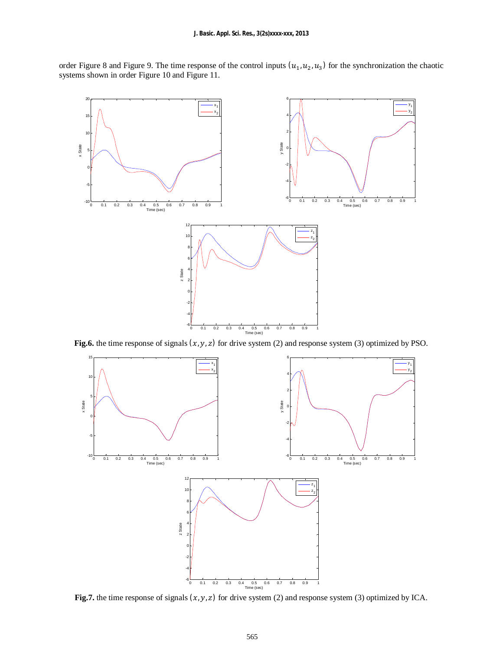order Figure 8 and Figure 9. The time response of the control inputs  $(u_1, u_2, u_3)$  for the synchronization the chaotic systems shown in order Figure 10 and Figure 11.



**Fig.6.** the time response of signals  $(x, y, z)$  for drive system (2) and response system (3) optimized by PSO.



**Fig.7.** the time response of signals  $(x, y, z)$  for drive system (2) and response system (3) optimized by ICA.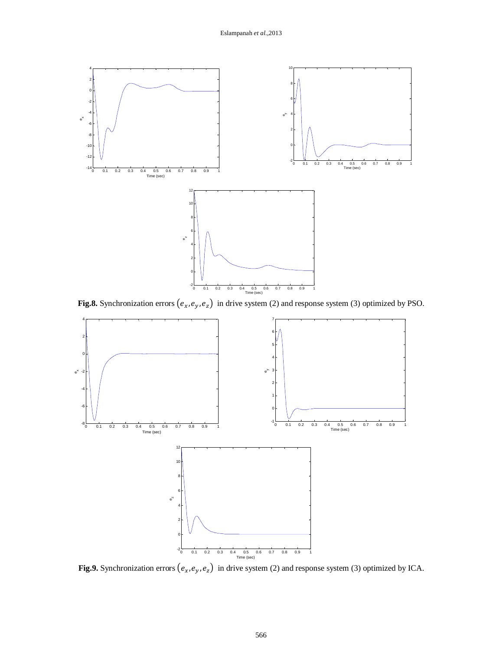

**Fig.8.** Synchronization errors  $(e_x, e_y, e_z)$  in drive system (2) and response system (3) optimized by PSO.



**Fig.9.** Synchronization errors  $(e_x, e_y, e_z)$  in drive system (2) and response system (3) optimized by ICA.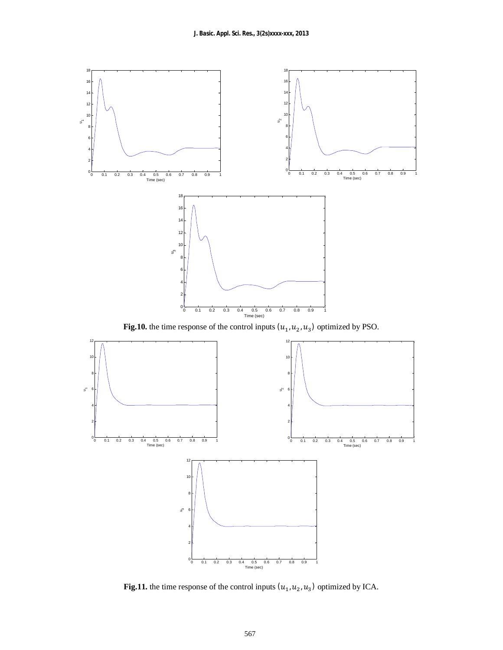

**Fig.11.** the time response of the control inputs  $(u_1, u_2, u_3)$  optimized by ICA.